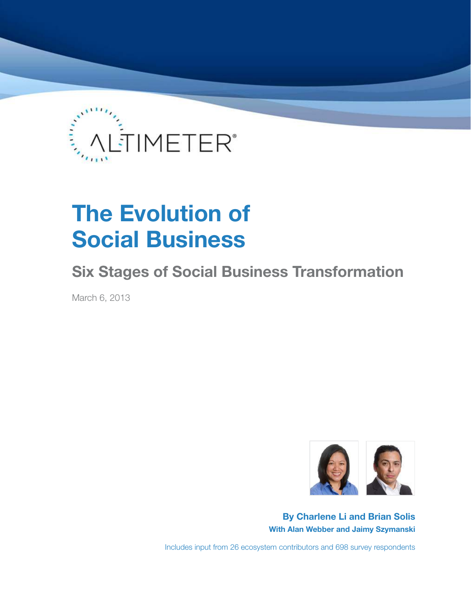

# **The Evolution of Social Business**

# **Six Stages of Social Business Transformation**

March 6, 2013



**By Charlene Li and Brian Solis With Alan Webber and Jaimy Szymanski**

Includes input from 26 ecosystem contributors and 698 survey respondents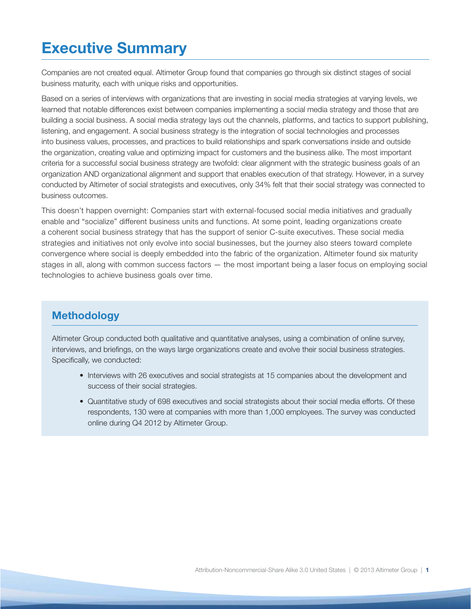# **Executive Summary**

Companies are not created equal. Altimeter Group found that companies go through six distinct stages of social business maturity, each with unique risks and opportunities.

Based on a series of interviews with organizations that are investing in social media strategies at varying levels, we learned that notable differences exist between companies implementing a social media strategy and those that are building a social business. A social media strategy lays out the channels, platforms, and tactics to support publishing, listening, and engagement. A social business strategy is the integration of social technologies and processes into business values, processes, and practices to build relationships and spark conversations inside and outside the organization, creating value and optimizing impact for customers and the business alike. The most important criteria for a successful social business strategy are twofold: clear alignment with the strategic business goals of an organization AND organizational alignment and support that enables execution of that strategy. However, in a survey conducted by Altimeter of social strategists and executives, only 34% felt that their social strategy was connected to business outcomes.

This doesn't happen overnight: Companies start with external-focused social media initiatives and gradually enable and "socialize" different business units and functions. At some point, leading organizations create a coherent social business strategy that has the support of senior C-suite executives. These social media strategies and initiatives not only evolve into social businesses, but the journey also steers toward complete convergence where social is deeply embedded into the fabric of the organization. Altimeter found six maturity stages in all, along with common success factors — the most important being a laser focus on employing social technologies to achieve business goals over time.

# **Methodology**

Altimeter Group conducted both qualitative and quantitative analyses, using a combination of online survey, interviews, and briefings, on the ways large organizations create and evolve their social business strategies. Specifically, we conducted:

- Interviews with 26 executives and social strategists at 15 companies about the development and success of their social strategies.
- Quantitative study of 698 executives and social strategists about their social media efforts. Of these respondents, 130 were at companies with more than 1,000 employees. The survey was conducted online during Q4 2012 by Altimeter Group.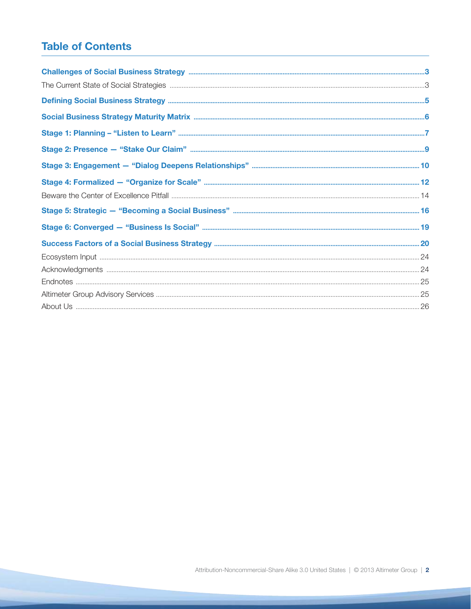# **Table of Contents**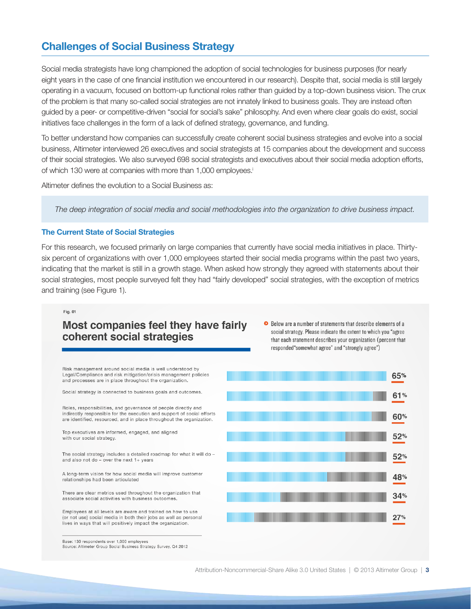# **Challenges of Social Business Strategy**

Social media strategists have long championed the adoption of social technologies for business purposes (for nearly eight years in the case of one financial institution we encountered in our research). Despite that, social media is still largely operating in a vacuum, focused on bottom-up functional roles rather than guided by a top-down business vision. The crux of the problem is that many so-called social strategies are not innately linked to business goals. They are instead often guided by a peer- or competitive-driven "social for social's sake" philosophy. And even where clear goals do exist, social initiatives face challenges in the form of a lack of defined strategy, governance, and funding.

To better understand how companies can successfully create coherent social business strategies and evolve into a social business, Altimeter interviewed 26 executives and social strategists at 15 companies about the development and success of their social strategies. We also surveyed 698 social strategists and executives about their social media adoption efforts, of which 130 were at companies with more than 1,000 employees.<sup>i</sup>

Altimeter defines the evolution to a Social Business as:

*The deep integration of social media and social methodologies into the organization to drive business impact.*

## **The Current State of Social Strategies**

For this research, we focused primarily on large companies that currently have social media initiatives in place. Thirtysix percent of organizations with over 1,000 employees started their social media programs within the past two years, indicating that the market is still in a growth stage. When asked how strongly they agreed with statements about their social strategies, most people surveyed felt they had "fairly developed" social strategies, with the exception of metrics and training (see Figure 1).

### Fig. 01

# Most companies feel they have fairly coherent social strategies

● Below are a number of statements that describe elements of a social strategy. Please indicate the extent to which you "agree that each statement describes your organization (percent that responded"somewhat agree" and "strongly agree")

Risk management around social media is well understood by Legal/Compliance and risk mitigation/crisis management policies and processes are in place throughout the organization.

Social strategy is connected to business goals and outcomes.

Roles, responsibilities, and governance of people directly and indirectly responsible for the execution and support of social efforts are identified, resourced, and in place throughout the organization.

Top executives are informed, engaged, and aligned with our social strategy

The social strategy includes a detailed roadmap for what it will do and also not do - over the next  $1+$  years

A long-term vision for how social media will improve customer relationships had been articulated

There are clear metrics used throughout the organization that associate social activities with business outcomes.

Employees at all levels are aware and trained on how to use (or not use) social media in both their jobs as well as personal lives in ways that will positively impact the organization.

Source: Altimeter Group Social Business Strategy Survey, Q4 2012

Base: 130 respondents over 1,000 employees

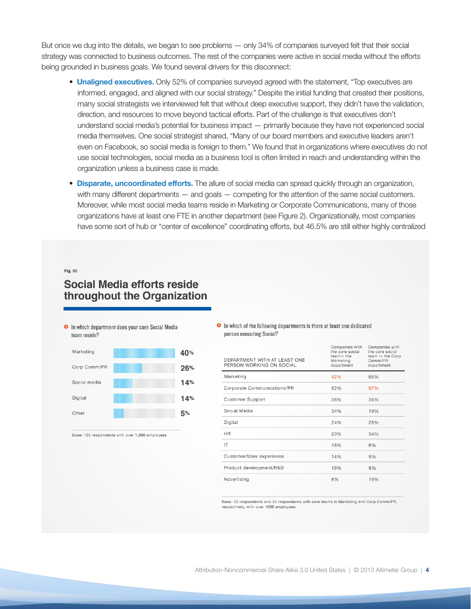But once we dug into the details, we began to see problems — only 34% of companies surveyed felt that their social strategy was connected to business outcomes. The rest of the companies were active in social media without the efforts being grounded in business goals. We found several drivers for this disconnect:

- **Unaligned executives.** Only 52% of companies surveyed agreed with the statement, "Top executives are informed, engaged, and aligned with our social strategy." Despite the initial funding that created their positions, many social strategists we interviewed felt that without deep executive support, they didn't have the validation, direction, and resources to move beyond tactical efforts. Part of the challenge is that executives don't understand social media's potential for business impact — primarily because they have not experienced social media themselves. One social strategist shared, "Many of our board members and executive leaders aren't even on Facebook, so social media is foreign to them." We found that in organizations where executives do not use social technologies, social media as a business tool is often limited in reach and understanding within the organization unless a business case is made.
- **Disparate, uncoordinated efforts.** The allure of social media can spread quickly through an organization, with many different departments — and goals — competing for the attention of the same social customers. Moreover, while most social media teams reside in Marketing or Corporate Communications, many of those organizations have at least one FTE in another department (see Figure 2). Organizationally, most companies have some sort of hub or "center of excellence" coordinating efforts, but 46.5% are still either highly centralized

### $Fig. 02$

# Social Media efforts reside throughout the Organization



| Marketing    |                | 40% |
|--------------|----------------|-----|
| Corp Comm/PR |                | 26% |
| Social media | <u>Hilling</u> | 14% |
| Digital      |                | 14% |
| Other        |                | 5%  |
|              |                |     |

Base: 125 respondents with over 1,000 employees

### In which of the following departments is there at least one dedicated person executing Social?

| DEPARTMENT WITH AT LEAST ONE<br>PERSON WORKING ON SOCIAL | Companies with<br>the core social<br>teamin the<br>Marketing<br>department | Companies with<br>the core social<br>team in the Corp<br>Comm/PR<br>department |  |  |
|----------------------------------------------------------|----------------------------------------------------------------------------|--------------------------------------------------------------------------------|--|--|
| Marketing                                                | 92%                                                                        | 66%                                                                            |  |  |
| Corporate Communications/PR                              | 52%                                                                        | 97%                                                                            |  |  |
| <b>Customer Support</b>                                  | 36%                                                                        | 38%                                                                            |  |  |
| Social Media                                             | 34%                                                                        | 19%                                                                            |  |  |
| Digital                                                  | 24%                                                                        | 28%                                                                            |  |  |
| <b>HR</b>                                                | 20%                                                                        | 34%                                                                            |  |  |
| IT                                                       | 18%                                                                        | 6%                                                                             |  |  |
| Customer/User experience                                 | 14%                                                                        | 9%                                                                             |  |  |
| Product development/R&D                                  | 16%                                                                        | 9%                                                                             |  |  |
| Advertising                                              | 6%                                                                         | 19%                                                                            |  |  |

Base: 50 respondents and 32 respondents with core teams in Marketing and Corp Comm/PR, respectively, with over 1000 employees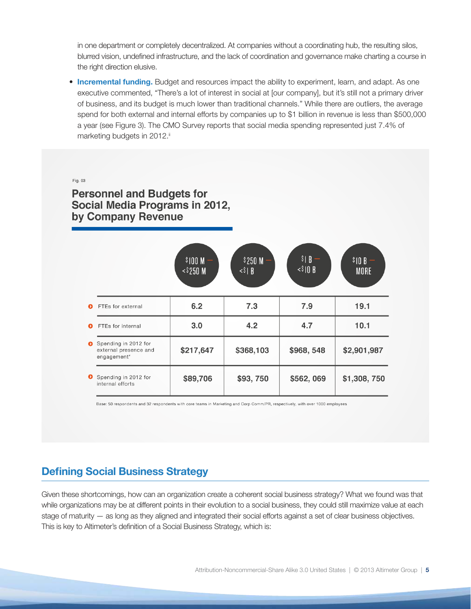in one department or completely decentralized. At companies without a coordinating hub, the resulting silos, blurred vision, undefined infrastructure, and the lack of coordination and governance make charting a course in the right direction elusive.

• **Incremental funding.** Budget and resources impact the ability to experiment, learn, and adapt. As one executive commented, "There's a lot of interest in social at [our company], but it's still not a primary driver of business, and its budget is much lower than traditional channels." While there are outliers, the average spend for both external and internal efforts by companies up to \$1 billion in revenue is less than \$500,000 a year (see Figure 3). The CMO Survey reports that social media spending represented just 7.4% of marketing budgets in 2012.ii

Fig. 03

**Personnel and Budgets for** Social Media Programs in 2012, by Company Revenue

|   |                                                              | \$100 <sub>M</sub><br>$<$ \$250 M | \$250 M<br>$\langle$ $\rangle$   $\vert$ | $S \mid B$<br>$\langle$ \$10 B | $$10B -$<br><b>MORE</b> |
|---|--------------------------------------------------------------|-----------------------------------|------------------------------------------|--------------------------------|-------------------------|
| Ω | FTEs for external                                            | 6.2                               | 7.3                                      | 7.9                            | 19.1                    |
| മ | FTEs for internal                                            | 3.0                               | 4.2                                      | 4.7                            | 10.1                    |
| ๑ | Spending in 2012 for<br>external presence and<br>engagement* | \$217,647                         | \$368,103                                | \$968,548                      | \$2,901,987             |
| ◐ | Spending in 2012 for<br>internal efforts                     | \$89,706                          | \$93,750                                 | \$562,069                      | \$1,308,750             |

Base: 50 respondents and 32 respondents with core teams in Marketing and Corp Comm/PR, respectively, with over 1000 employees

# **Defining Social Business Strategy**

Given these shortcomings, how can an organization create a coherent social business strategy? What we found was that while organizations may be at different points in their evolution to a social business, they could still maximize value at each stage of maturity — as long as they aligned and integrated their social efforts against a set of clear business objectives. This is key to Altimeter's definition of a Social Business Strategy, which is: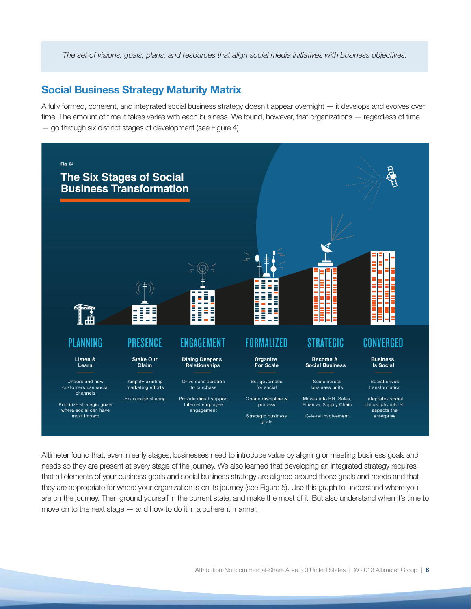*The set of visions, goals, plans, and resources that align social media initiatives with business objectives.*

## **Social Business Strategy Maturity Matrix**

A fully formed, coherent, and integrated social business strategy doesn't appear overnight — it develops and evolves over time. The amount of time it takes varies with each business. We found, however, that organizations — regardless of time — go through six distinct stages of development (see Figure 4).



Altimeter found that, even in early stages, businesses need to introduce value by aligning or meeting business goals and needs so they are present at every stage of the journey. We also learned that developing an integrated strategy requires that all elements of your business goals and social business strategy are aligned around those goals and needs and that they are appropriate for where your organization is on its journey (see Figure 5). Use this graph to understand where you are on the journey. Then ground yourself in the current state, and make the most of it. But also understand when it's time to move on to the next stage — and how to do it in a coherent manner.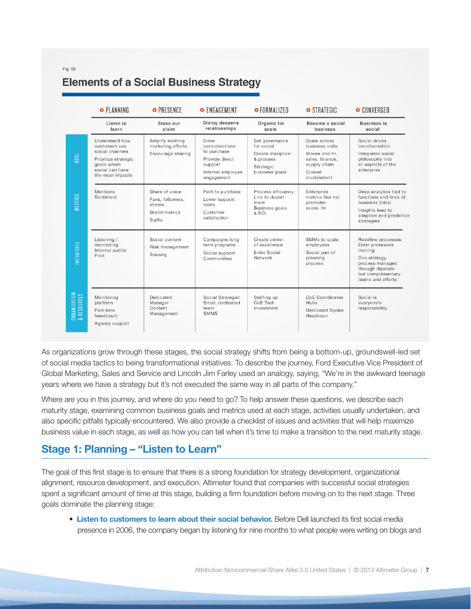# **Elements of a Social Business Strategy**

|                                         | <b>O</b> PLANNING                                                                                                               | O PRESENCE                                                                      | O ENGAGEMENT                                                                                           | O FORMALIZED                                                                                  | STRATEGIC                                                                                                     | O CONVERGED                                                                                                                                        |
|-----------------------------------------|---------------------------------------------------------------------------------------------------------------------------------|---------------------------------------------------------------------------------|--------------------------------------------------------------------------------------------------------|-----------------------------------------------------------------------------------------------|---------------------------------------------------------------------------------------------------------------|----------------------------------------------------------------------------------------------------------------------------------------------------|
|                                         | Listen to<br>learn                                                                                                              | Stake our<br>claim                                                              | Dialog deepens<br>relationships                                                                        | Organic for<br>scale                                                                          | Become a social<br>business                                                                                   | <b>Business is</b><br>social                                                                                                                       |
| GOAL                                    | Understand how<br>customers use<br>social channels<br>Priortize strategic<br>goals where<br>social can have<br>the most impacts | Amplify existing<br>marketing efforts<br>Encourage sharing                      | Drive<br>considerations<br>to purchase<br>Provide direct<br>support<br>Internal employee<br>engagement | Set governance<br>for social<br>Create discipline<br>& process<br>Strategic<br>business goals | Scale across<br>business units<br>Moves into hr.<br>sales, finance,<br>supply chain<br>C-level<br>involvement | Social drives<br>transformation<br>Integrates social<br>philosophy into<br>all aspects of the<br>enterprise                                        |
| <b>METRICS</b>                          | Mentions<br>Sentiment                                                                                                           | Share of voice<br>Fans, followers,<br>shares<br><b>Brand metrics</b><br>Traffic | Path to purchase<br>Lower support<br>costs<br>Customer<br>satisfaction                                 | Process efficiency<br>Link to depart-<br>ment<br><b>Business</b> goals<br>& ROI               | Enterprise<br>metrics like net<br>promoter<br>score, Itv                                                      | Deep analytics tied to<br>functions and lines of<br>business (lobs)<br>Insights lead to<br>adaptive and predictive<br>strategies                   |
| <b>INITIATIVES</b>                      | Listening /<br>monitoring<br>Internal audits<br>Pilot                                                                           | Social content<br>Risk management<br>Training                                   | Campaigns long<br>term programs<br>Social support<br>Communities                                       | Create center<br>of excellence<br>Enter Social<br>Network                                     | SMMs to scale<br>employees<br>Social part of<br>planning<br>process                                           | Redefine processes<br>Enter prosewide<br>training<br>One strategy<br>process managed<br>through diparate<br>but complementary<br>teams and efforts |
| <b>ORGANIZATION<br/>&amp; RESOURCES</b> | Monitoring<br>platform<br>Part-time<br>headcount<br>Agency support                                                              | Dedicated<br>Manager<br>Content<br>Management                                   | Social Strategist<br>Small, dedicated<br>team<br><b>SMMS</b>                                           | Staffing up<br>CoE Tech<br>Investment                                                         | <b>CoE</b> Coordinates<br>Hubs<br><b>Dedicated Spoke</b><br>Headcoun                                          | Social is<br>evervone's<br>responsibility                                                                                                          |

As organizations grow through these stages, the social strategy shifts from being a bottom-up, groundswell-led set of social media tactics to being transformational initiatives. To describe the journey, Ford Executive Vice President of Global Marketing, Sales and Service and Lincoln Jim Farley used an analogy, saying, "We're in the awkward teenage years where we have a strategy but it's not executed the same way in all parts of the company."

Where are you in this journey, and where do you need to go? To help answer these questions, we describe each maturity stage, examining common business goals and metrics used at each stage, activities usually undertaken, and also specific pitfalls typically encountered. We also provide a checklist of issues and activities that will help maximize business value in each stage, as well as how you can tell when it's time to make a transition to the next maturity stage.

# **Stage 1: Planning – "Listen to Learn"**

The goal of this first stage is to ensure that there is a strong foundation for strategy development, organizational alignment, resource development, and execution. Altimeter found that companies with successful social strategies spent a significant amount of time at this stage, building a firm foundation before moving on to the next stage. Three goals dominate the planning stage:

• **Listen to customers to learn about their social behavior.** Before Dell launched its first social media presence in 2006, the company began by listening for nine months to what people were writing on blogs and

 $Fin$  05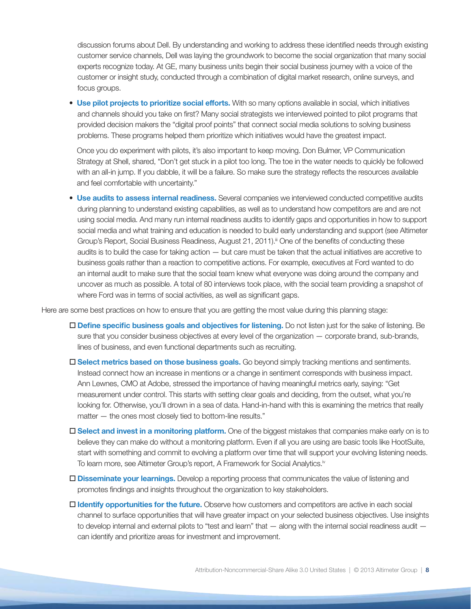discussion forums about Dell. By understanding and working to address these identified needs through existing customer service channels, Dell was laying the groundwork to become the social organization that many social experts recognize today. At GE, many business units begin their social business journey with a voice of the customer or insight study, conducted through a combination of digital market research, online surveys, and focus groups.

• **Use pilot projects to prioritize social efforts.** With so many options available in social, which initiatives and channels should you take on first? Many social strategists we interviewed pointed to pilot programs that provided decision makers the "digital proof points" that connect social media solutions to solving business problems. These programs helped them prioritize which initiatives would have the greatest impact.

Once you do experiment with pilots, it's also important to keep moving. Don Bulmer, VP Communication Strategy at Shell, shared, "Don't get stuck in a pilot too long. The toe in the water needs to quickly be followed with an all-in jump. If you dabble, it will be a failure. So make sure the strategy reflects the resources available and feel comfortable with uncertainty."

• **Use audits to assess internal readiness.** Several companies we interviewed conducted competitive audits during planning to understand existing capabilities, as well as to understand how competitors are and are not using social media. And many run internal readiness audits to identify gaps and opportunities in how to support social media and what training and education is needed to build early understanding and support (see Altimeter Group's Report, Social Business Readiness, August 21, 2011).<sup>ii</sup> One of the benefits of conducting these audits is to build the case for taking action — but care must be taken that the actual initiatives are accretive to business goals rather than a reaction to competitive actions. For example, executives at Ford wanted to do an internal audit to make sure that the social team knew what everyone was doing around the company and uncover as much as possible. A total of 80 interviews took place, with the social team providing a snapshot of where Ford was in terms of social activities, as well as significant gaps.

Here are some best practices on how to ensure that you are getting the most value during this planning stage:

- o **Define specific business goals and objectives for listening.** Do not listen just for the sake of listening. Be sure that you consider business objectives at every level of the organization — corporate brand, sub-brands, lines of business, and even functional departments such as recruiting.
- □ **Select metrics based on those business goals.** Go beyond simply tracking mentions and sentiments. Instead connect how an increase in mentions or a change in sentiment corresponds with business impact. Ann Lewnes, CMO at Adobe, stressed the importance of having meaningful metrics early, saying: "Get measurement under control. This starts with setting clear goals and deciding, from the outset, what you're looking for. Otherwise, you'll drown in a sea of data. Hand-in-hand with this is examining the metrics that really matter — the ones most closely tied to bottom-line results."
- □ Select and invest in a monitoring platform. One of the biggest mistakes that companies make early on is to believe they can make do without a monitoring platform. Even if all you are using are basic tools like HootSuite, start with something and commit to evolving a platform over time that will support your evolving listening needs. To learn more, see Altimeter Group's report, A Framework for Social Analytics.iv
- □ **Disseminate your learnings.** Develop a reporting process that communicates the value of listening and promotes findings and insights throughout the organization to key stakeholders.
- $\square$  **Identify opportunities for the future.** Observe how customers and competitors are active in each social channel to surface opportunities that will have greater impact on your selected business objectives. Use insights to develop internal and external pilots to "test and learn" that — along with the internal social readiness audit can identify and prioritize areas for investment and improvement.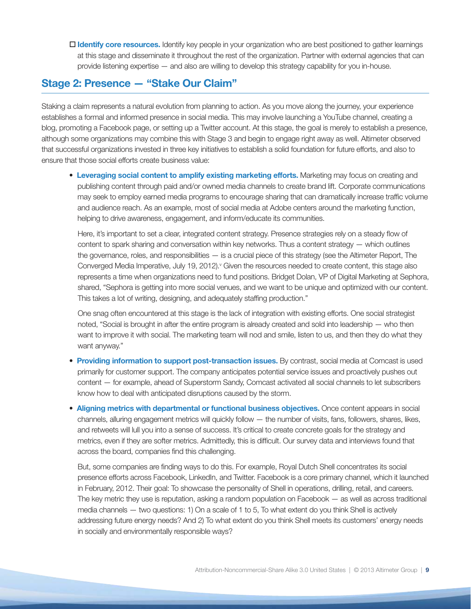$\Box$  **Identify core resources.** Identify key people in your organization who are best positioned to gather learnings at this stage and disseminate it throughout the rest of the organization. Partner with external agencies that can provide listening expertise — and also are willing to develop this strategy capability for you in-house.

# **Stage 2: Presence — "Stake Our Claim"**

Staking a claim represents a natural evolution from planning to action. As you move along the journey, your experience establishes a formal and informed presence in social media. This may involve launching a YouTube channel, creating a blog, promoting a Facebook page, or setting up a Twitter account. At this stage, the goal is merely to establish a presence, although some organizations may combine this with Stage 3 and begin to engage right away as well. Altimeter observed that successful organizations invested in three key initiatives to establish a solid foundation for future efforts, and also to ensure that those social efforts create business value:

• **Leveraging social content to amplify existing marketing efforts.** Marketing may focus on creating and publishing content through paid and/or owned media channels to create brand lift. Corporate communications may seek to employ earned media programs to encourage sharing that can dramatically increase traffic volume and audience reach. As an example, most of social media at Adobe centers around the marketing function, helping to drive awareness, engagement, and inform/educate its communities.

Here, it's important to set a clear, integrated content strategy. Presence strategies rely on a steady flow of content to spark sharing and conversation within key networks. Thus a content strategy — which outlines the governance, roles, and responsibilities — is a crucial piece of this strategy (see the Altimeter Report, The Converged Media Imperative, July 19, 2012). " Given the resources needed to create content, this stage also represents a time when organizations need to fund positions. Bridget Dolan, VP of Digital Marketing at Sephora, shared, "Sephora is getting into more social venues, and we want to be unique and optimized with our content. This takes a lot of writing, designing, and adequately staffing production."

One snag often encountered at this stage is the lack of integration with existing efforts. One social strategist noted, "Social is brought in after the entire program is already created and sold into leadership — who then want to improve it with social. The marketing team will nod and smile, listen to us, and then they do what they want anyway."

- **Providing information to support post-transaction issues.** By contrast, social media at Comcast is used primarily for customer support. The company anticipates potential service issues and proactively pushes out content — for example, ahead of Superstorm Sandy, Comcast activated all social channels to let subscribers know how to deal with anticipated disruptions caused by the storm.
- **Aligning metrics with departmental or functional business objectives.** Once content appears in social channels, alluring engagement metrics will quickly follow — the number of visits, fans, followers, shares, likes, and retweets will lull you into a sense of success. It's critical to create concrete goals for the strategy and metrics, even if they are softer metrics. Admittedly, this is difficult. Our survey data and interviews found that across the board, companies find this challenging.

But, some companies are finding ways to do this. For example, Royal Dutch Shell concentrates its social presence efforts across Facebook, LinkedIn, and Twitter. Facebook is a core primary channel, which it launched in February, 2012. Their goal: To showcase the personality of Shell in operations, drilling, retail, and careers. The key metric they use is reputation, asking a random population on Facebook — as well as across traditional media channels — two questions: 1) On a scale of 1 to 5, To what extent do you think Shell is actively addressing future energy needs? And 2) To what extent do you think Shell meets its customers' energy needs in socially and environmentally responsible ways?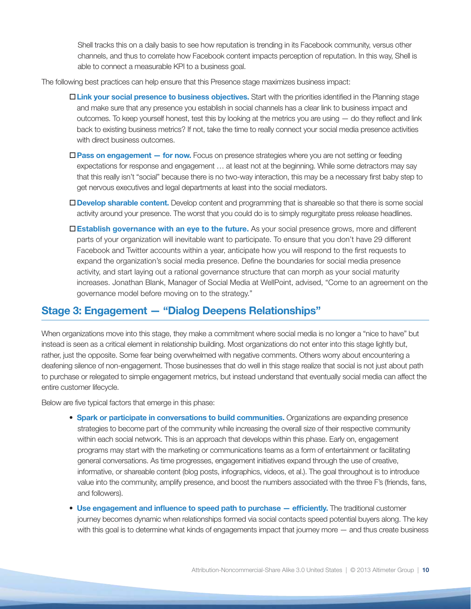Shell tracks this on a daily basis to see how reputation is trending in its Facebook community, versus other channels, and thus to correlate how Facebook content impacts perception of reputation. In this way, Shell is able to connect a measurable KPI to a business goal.

The following best practices can help ensure that this Presence stage maximizes business impact:

- o**Link your social presence to business objectives.** Start with the priorities identified in the Planning stage and make sure that any presence you establish in social channels has a clear link to business impact and outcomes. To keep yourself honest, test this by looking at the metrics you are using — do they reflect and link back to existing business metrics? If not, take the time to really connect your social media presence activities with direct business outcomes.
- **□Pass on engagement for now.** Focus on presence strategies where you are not setting or feeding expectations for response and engagement … at least not at the beginning. While some detractors may say that this really isn't "social" because there is no two-way interaction, this may be a necessary first baby step to get nervous executives and legal departments at least into the social mediators.
- o**Develop sharable content.** Develop content and programming that is shareable so that there is some social activity around your presence. The worst that you could do is to simply regurgitate press release headlines.
- □ Establish governance with an eye to the future. As your social presence grows, more and different parts of your organization will inevitable want to participate. To ensure that you don't have 29 different Facebook and Twitter accounts within a year, anticipate how you will respond to the first requests to expand the organization's social media presence. Define the boundaries for social media presence activity, and start laying out a rational governance structure that can morph as your social maturity increases. Jonathan Blank, Manager of Social Media at WellPoint, advised, "Come to an agreement on the governance model before moving on to the strategy."

## **Stage 3: Engagement — "Dialog Deepens Relationships"**

When organizations move into this stage, they make a commitment where social media is no longer a "nice to have" but instead is seen as a critical element in relationship building. Most organizations do not enter into this stage lightly but, rather, just the opposite. Some fear being overwhelmed with negative comments. Others worry about encountering a deafening silence of non-engagement. Those businesses that do well in this stage realize that social is not just about path to purchase or relegated to simple engagement metrics, but instead understand that eventually social media can affect the entire customer lifecycle.

Below are five typical factors that emerge in this phase:

- **Spark or participate in conversations to build communities.** Organizations are expanding presence strategies to become part of the community while increasing the overall size of their respective community within each social network. This is an approach that develops within this phase. Early on, engagement programs may start with the marketing or communications teams as a form of entertainment or facilitating general conversations. As time progresses, engagement initiatives expand through the use of creative, informative, or shareable content (blog posts, infographics, videos, et al.). The goal throughout is to introduce value into the community, amplify presence, and boost the numbers associated with the three F's (friends, fans, and followers).
- Use engagement and influence to speed path to purchase efficiently. The traditional customer journey becomes dynamic when relationships formed via social contacts speed potential buyers along. The key with this goal is to determine what kinds of engagements impact that journey more — and thus create business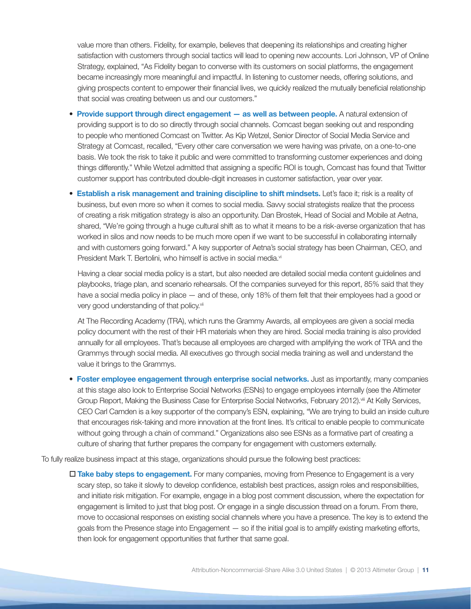value more than others. Fidelity, for example, believes that deepening its relationships and creating higher satisfaction with customers through social tactics will lead to opening new accounts. Lori Johnson, VP of Online Strategy, explained, "As Fidelity began to converse with its customers on social platforms, the engagement became increasingly more meaningful and impactful. In listening to customer needs, offering solutions, and giving prospects content to empower their financial lives, we quickly realized the mutually beneficial relationship that social was creating between us and our customers."

- **Provide support through direct engagement as well as between people.** A natural extension of providing support is to do so directly through social channels. Comcast began seeking out and responding to people who mentioned Comcast on Twitter. As Kip Wetzel, Senior Director of Social Media Service and Strategy at Comcast, recalled, "Every other care conversation we were having was private, on a one-to-one basis. We took the risk to take it public and were committed to transforming customer experiences and doing things differently." While Wetzel admitted that assigning a specific ROI is tough, Comcast has found that Twitter customer support has contributed double-digit increases in customer satisfaction, year over year.
- **Establish a risk management and training discipline to shift mindsets.** Let's face it; risk is a reality of business, but even more so when it comes to social media. Savvy social strategists realize that the process of creating a risk mitigation strategy is also an opportunity. Dan Brostek, Head of Social and Mobile at Aetna, shared, "We're going through a huge cultural shift as to what it means to be a risk-averse organization that has worked in silos and now needs to be much more open if we want to be successful in collaborating internally and with customers going forward." A key supporter of Aetna's social strategy has been Chairman, CEO, and President Mark T. Bertolini, who himself is active in social media.<sup>vi</sup>

Having a clear social media policy is a start, but also needed are detailed social media content guidelines and playbooks, triage plan, and scenario rehearsals. Of the companies surveyed for this report, 85% said that they have a social media policy in place — and of these, only 18% of them felt that their employees had a good or very good understanding of that policy.<sup>vii</sup>

At The Recording Academy (TRA), which runs the Grammy Awards, all employees are given a social media policy document with the rest of their HR materials when they are hired. Social media training is also provided annually for all employees. That's because all employees are charged with amplifying the work of TRA and the Grammys through social media. All executives go through social media training as well and understand the value it brings to the Grammys.

• **Foster employee engagement through enterprise social networks.** Just as importantly, many companies at this stage also look to Enterprise Social Networks (ESNs) to engage employees internally (see the Altimeter Group Report, Making the Business Case for Enterprise Social Networks, February 2012).<sup>vii</sup> At Kelly Services, CEO Carl Camden is a key supporter of the company's ESN, explaining, "We are trying to build an inside culture that encourages risk-taking and more innovation at the front lines. It's critical to enable people to communicate without going through a chain of command." Organizations also see ESNs as a formative part of creating a culture of sharing that further prepares the company for engagement with customers externally.

To fully realize business impact at this stage, organizations should pursue the following best practices:

 $\square$  Take baby steps to engagement. For many companies, moving from Presence to Engagement is a very scary step, so take it slowly to develop confidence, establish best practices, assign roles and responsibilities, and initiate risk mitigation. For example, engage in a blog post comment discussion, where the expectation for engagement is limited to just that blog post. Or engage in a single discussion thread on a forum. From there, move to occasional responses on existing social channels where you have a presence. The key is to extend the goals from the Presence stage into Engagement — so if the initial goal is to amplify existing marketing efforts, then look for engagement opportunities that further that same goal.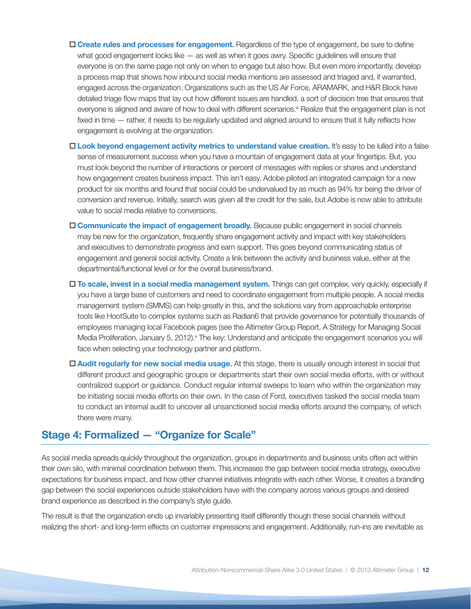- $\Box$  **Create rules and processes for engagement.** Regardless of the type of engagement, be sure to define what good engagement looks like — as well as when it goes awry. Specific guidelines will ensure that everyone is on the same page not only on when to engage but also how. But even more importantly, develop a process map that shows how inbound social media mentions are assessed and triaged and, if warranted, engaged across the organization. Organizations such as the US Air Force, ARAMARK, and H&R Block have detailed triage flow maps that lay out how different issues are handled, a sort of decision tree that ensures that everyone is aligned and aware of how to deal with different scenarios.<sup>ix</sup> Realize that the engagement plan is not fixed in time — rather, it needs to be regularly updated and aligned around to ensure that it fully reflects how engagement is evolving at the organization.
- $\square$  **Look beyond engagement activity metrics to understand value creation.** It's easy to be lulled into a false sense of measurement success when you have a mountain of engagement data at your fingertips. But, you must look beyond the number of interactions or percent of messages with replies or shares and understand how engagement creates business impact. This isn't easy. Adobe piloted an integrated campaign for a new product for six months and found that social could be undervalued by as much as 94% for being the driver of conversion and revenue. Initially, search was given all the credit for the sale, but Adobe is now able to attribute value to social media relative to conversions.
- $\square$  **Communicate the impact of engagement broadly.** Because public engagement in social channels may be new for the organization, frequently share engagement activity and impact with key stakeholders and executives to demonstrate progress and earn support. This goes beyond communicating status of engagement and general social activity. Create a link between the activity and business value, either at the departmental/functional level or for the overall business/brand.
- o **To scale, invest in a social media management system.** Things can get complex, very quickly, especially if you have a large base of customers and need to coordinate engagement from multiple people. A social media management system (SMMS) can help greatly in this, and the solutions vary from approachable enterprise tools like HootSuite to complex systems such as Radian6 that provide governance for potentially thousands of employees managing local Facebook pages (see the Altimeter Group Report, A Strategy for Managing Social Media Proliferation, January 5, 2012).<sup>x</sup> The key: Understand and anticipate the engagement scenarios you will face when selecting your technology partner and platform.
- $\square$  Audit regularly for new social media usage. At this stage, there is usually enough interest in social that different product and geographic groups or departments start their own social media efforts, with or without centralized support or guidance. Conduct regular internal sweeps to learn who within the organization may be initiating social media efforts on their own. In the case of Ford, executives tasked the social media team to conduct an internal audit to uncover all unsanctioned social media efforts around the company, of which there were many.

# **Stage 4: Formalized — "Organize for Scale"**

As social media spreads quickly throughout the organization, groups in departments and business units often act within their own silo, with minimal coordination between them. This increases the gap between social media strategy, executive expectations for business impact, and how other channel initiatives integrate with each other. Worse, it creates a branding gap between the social experiences outside stakeholders have with the company across various groups and desired brand experience as described in the company's style guide.

The result is that the organization ends up invariably presenting itself differently though these social channels without realizing the short- and long-term effects on customer impressions and engagement. Additionally, run-ins are inevitable as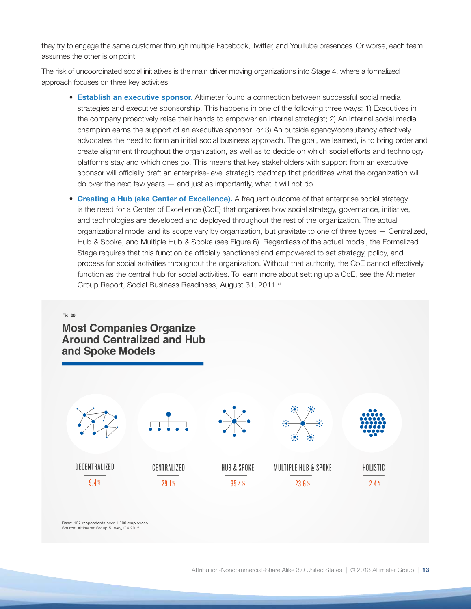they try to engage the same customer through multiple Facebook, Twitter, and YouTube presences. Or worse, each team assumes the other is on point.

The risk of uncoordinated social initiatives is the main driver moving organizations into Stage 4, where a formalized approach focuses on three key activities:

- **Establish an executive sponsor.** Altimeter found a connection between successful social media strategies and executive sponsorship. This happens in one of the following three ways: 1) Executives in the company proactively raise their hands to empower an internal strategist; 2) An internal social media champion earns the support of an executive sponsor; or 3) An outside agency/consultancy effectively advocates the need to form an initial social business approach. The goal, we learned, is to bring order and create alignment throughout the organization, as well as to decide on which social efforts and technology platforms stay and which ones go. This means that key stakeholders with support from an executive sponsor will officially draft an enterprise-level strategic roadmap that prioritizes what the organization will do over the next few years — and just as importantly, what it will not do.
- **Creating a Hub (aka Center of Excellence).** A frequent outcome of that enterprise social strategy is the need for a Center of Excellence (CoE) that organizes how social strategy, governance, initiative, and technologies are developed and deployed throughout the rest of the organization. The actual organizational model and its scope vary by organization, but gravitate to one of three types — Centralized, Hub & Spoke, and Multiple Hub & Spoke (see Figure 6). Regardless of the actual model, the Formalized Stage requires that this function be officially sanctioned and empowered to set strategy, policy, and process for social activities throughout the organization. Without that authority, the CoE cannot effectively function as the central hub for social activities. To learn more about setting up a CoE, see the Altimeter Group Report, Social Business Readiness, August 31, 2011.<sup>xi</sup>

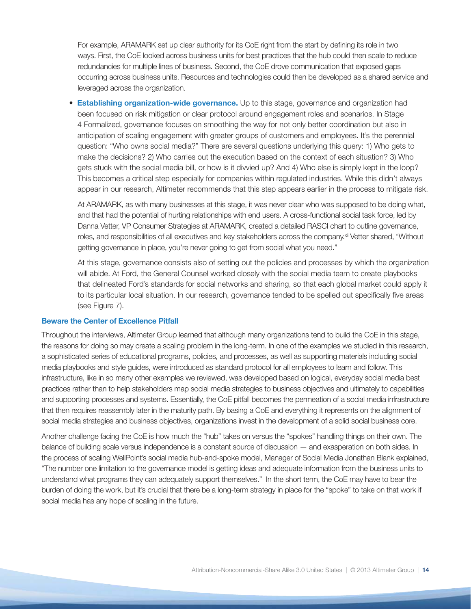For example, ARAMARK set up clear authority for its CoE right from the start by defining its role in two ways. First, the CoE looked across business units for best practices that the hub could then scale to reduce redundancies for multiple lines of business. Second, the CoE drove communication that exposed gaps occurring across business units. Resources and technologies could then be developed as a shared service and leveraged across the organization.

• **Establishing organization-wide governance.** Up to this stage, governance and organization had been focused on risk mitigation or clear protocol around engagement roles and scenarios. In Stage 4 Formalized, governance focuses on smoothing the way for not only better coordination but also in anticipation of scaling engagement with greater groups of customers and employees. It's the perennial question: "Who owns social media?" There are several questions underlying this query: 1) Who gets to make the decisions? 2) Who carries out the execution based on the context of each situation? 3) Who gets stuck with the social media bill, or how is it divvied up? And 4) Who else is simply kept in the loop? This becomes a critical step especially for companies within regulated industries. While this didn't always appear in our research, Altimeter recommends that this step appears earlier in the process to mitigate risk.

At ARAMARK, as with many businesses at this stage, it was never clear who was supposed to be doing what, and that had the potential of hurting relationships with end users. A cross-functional social task force, led by Danna Vetter, VP Consumer Strategies at ARAMARK, created a detailed RASCI chart to outline governance, roles, and responsibilities of all executives and key stakeholders across the company.<sup>xii</sup> Vetter shared, "Without getting governance in place, you're never going to get from social what you need."

At this stage, governance consists also of setting out the policies and processes by which the organization will abide. At Ford, the General Counsel worked closely with the social media team to create playbooks that delineated Ford's standards for social networks and sharing, so that each global market could apply it to its particular local situation. In our research, governance tended to be spelled out specifically five areas (see Figure 7).

## **Beware the Center of Excellence Pitfall**

Throughout the interviews, Altimeter Group learned that although many organizations tend to build the CoE in this stage, the reasons for doing so may create a scaling problem in the long-term. In one of the examples we studied in this research, a sophisticated series of educational programs, policies, and processes, as well as supporting materials including social media playbooks and style guides, were introduced as standard protocol for all employees to learn and follow. This infrastructure, like in so many other examples we reviewed, was developed based on logical, everyday social media best practices rather than to help stakeholders map social media strategies to business objectives and ultimately to capabilities and supporting processes and systems. Essentially, the CoE pitfall becomes the permeation of a social media infrastructure that then requires reassembly later in the maturity path. By basing a CoE and everything it represents on the alignment of social media strategies and business objectives, organizations invest in the development of a solid social business core.

Another challenge facing the CoE is how much the "hub" takes on versus the "spokes" handling things on their own. The balance of building scale versus independence is a constant source of discussion — and exasperation on both sides. In the process of scaling WellPoint's social media hub-and-spoke model, Manager of Social Media Jonathan Blank explained, "The number one limitation to the governance model is getting ideas and adequate information from the business units to understand what programs they can adequately support themselves." In the short term, the CoE may have to bear the burden of doing the work, but it's crucial that there be a long-term strategy in place for the "spoke" to take on that work if social media has any hope of scaling in the future.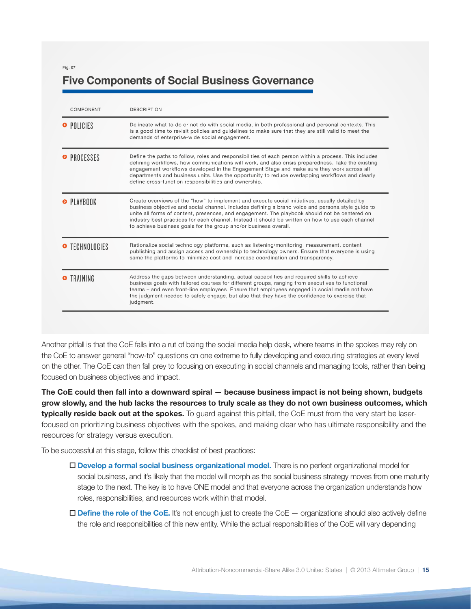Fig. 07

# **Five Components of Social Business Governance**

| COMPONENT          | <b>DESCRIPTION</b>                                                                                                                                                                                                                                                                                                                                                                                                                                                            |
|--------------------|-------------------------------------------------------------------------------------------------------------------------------------------------------------------------------------------------------------------------------------------------------------------------------------------------------------------------------------------------------------------------------------------------------------------------------------------------------------------------------|
| O POLICIES         | Delineate what to do or not do with social media, in both professional and personal contexts. This<br>is a good time to revisit policies and guidelines to make sure that they are still valid to meet the<br>demands of enterprise-wide social engagement.                                                                                                                                                                                                                   |
| <b>• PROCESSES</b> | Define the paths to follow, roles and responsibilities of each person within a process. This includes<br>defining workflows, how communications will work, and also crisis preparedness. Take the existing<br>engagement workflows developed in the Engagement Stage and make sure they work across all<br>departments and business units. Use the opportunity to reduce overlapping workflows and clearly<br>define cross-function responsibilities and ownership.           |
| <b>• PLAYBOOK</b>  | Create overviews of the "how" to implement and execute social initiatives, usually detailed by<br>business objective and social channel. Includes defining a brand voice and persona style guide to<br>unite all forms of content, presences, and engagement. The playbook should not be centered on<br>industry best practices for each channel. Instead it should be written on how to use each channel<br>to achieve business goals for the group and/or business overall. |
| O TECHNOLOGIES     | Rationalize social technology platforms, such as listening/monitoring, measurement, content<br>publishing and assign access and ownership to technology owners. Ensure that everyone is using<br>same the platforms to minimize cost and increase coordination and transparency.                                                                                                                                                                                              |
| <b>O</b> TRAINING  | Address the gaps between understanding, actual capabilities and required skills to achieve<br>business goals with tailored courses for different groups, ranging from executives to functional<br>teams – and even front-line employees. Ensure that employees engaged in social media not have<br>the judgment needed to safely engage, but also that they have the confidence to exercise that<br>judgment.                                                                 |

Another pitfall is that the CoE falls into a rut of being the social media help desk, where teams in the spokes may rely on the CoE to answer general "how-to" questions on one extreme to fully developing and executing strategies at every level on the other. The CoE can then fall prey to focusing on executing in social channels and managing tools, rather than being focused on business objectives and impact.

**The CoE could then fall into a downward spiral — because business impact is not being shown, budgets grow slowly, and the hub lacks the resources to truly scale as they do not own business outcomes, which typically reside back out at the spokes.** To guard against this pitfall, the CoE must from the very start be laserfocused on prioritizing business objectives with the spokes, and making clear who has ultimate responsibility and the resources for strategy versus execution.

To be successful at this stage, follow this checklist of best practices:

- $\square$  **Develop a formal social business organizational model.** There is no perfect organizational model for social business, and it's likely that the model will morph as the social business strategy moves from one maturity stage to the next. The key is to have ONE model and that everyone across the organization understands how roles, responsibilities, and resources work within that model.
- $\Box$  **Define the role of the CoE.** It's not enough just to create the CoE  $-$  organizations should also actively define the role and responsibilities of this new entity. While the actual responsibilities of the CoE will vary depending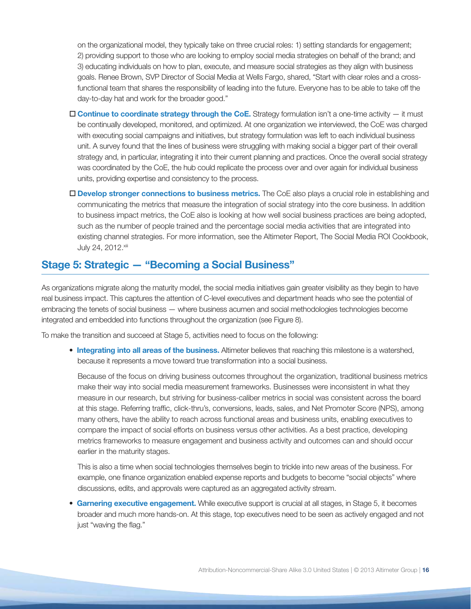on the organizational model, they typically take on three crucial roles: 1) setting standards for engagement; 2) providing support to those who are looking to employ social media strategies on behalf of the brand; and 3) educating individuals on how to plan, execute, and measure social strategies as they align with business goals. Renee Brown, SVP Director of Social Media at Wells Fargo, shared, "Start with clear roles and a crossfunctional team that shares the responsibility of leading into the future. Everyone has to be able to take off the day-to-day hat and work for the broader good."

- □ **Continue to coordinate strategy through the CoE.** Strategy formulation isn't a one-time activity it must be continually developed, monitored, and optimized. At one organization we interviewed, the CoE was charged with executing social campaigns and initiatives, but strategy formulation was left to each individual business unit. A survey found that the lines of business were struggling with making social a bigger part of their overall strategy and, in particular, integrating it into their current planning and practices. Once the overall social strategy was coordinated by the CoE, the hub could replicate the process over and over again for individual business units, providing expertise and consistency to the process.
- □ **Develop stronger connections to business metrics.** The CoE also plays a crucial role in establishing and communicating the metrics that measure the integration of social strategy into the core business. In addition to business impact metrics, the CoE also is looking at how well social business practices are being adopted, such as the number of people trained and the percentage social media activities that are integrated into existing channel strategies. For more information, see the Altimeter Report, The Social Media ROI Cookbook, July 24, 2012. Xiii

# **Stage 5: Strategic — "Becoming a Social Business"**

As organizations migrate along the maturity model, the social media initiatives gain greater visibility as they begin to have real business impact. This captures the attention of C-level executives and department heads who see the potential of embracing the tenets of social business — where business acumen and social methodologies technologies become integrated and embedded into functions throughout the organization (see Figure 8).

To make the transition and succeed at Stage 5, activities need to focus on the following:

• **Integrating into all areas of the business.** Altimeter believes that reaching this milestone is a watershed, because it represents a move toward true transformation into a social business.

Because of the focus on driving business outcomes throughout the organization, traditional business metrics make their way into social media measurement frameworks. Businesses were inconsistent in what they measure in our research, but striving for business-caliber metrics in social was consistent across the board at this stage. Referring traffic, click-thru's, conversions, leads, sales, and Net Promoter Score (NPS), among many others, have the ability to reach across functional areas and business units, enabling executives to compare the impact of social efforts on business versus other activities. As a best practice, developing metrics frameworks to measure engagement and business activity and outcomes can and should occur earlier in the maturity stages.

This is also a time when social technologies themselves begin to trickle into new areas of the business. For example, one finance organization enabled expense reports and budgets to become "social objects" where discussions, edits, and approvals were captured as an aggregated activity stream.

• **Garnering executive engagement.** While executive support is crucial at all stages, in Stage 5, it becomes broader and much more hands-on. At this stage, top executives need to be seen as actively engaged and not just "waving the flag."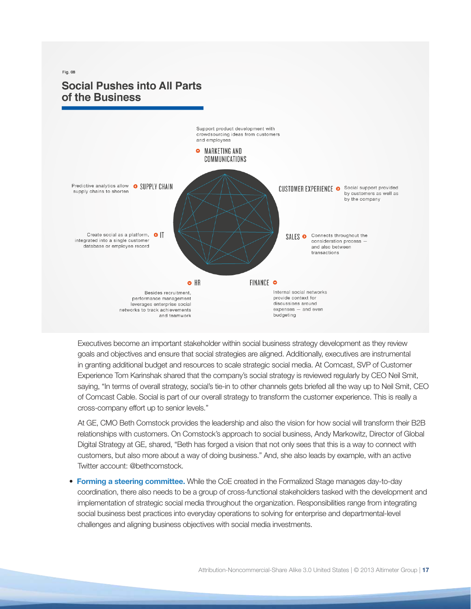# $Fig. 08$ **Social Pushes into All Parts** of the Business



Executives become an important stakeholder within social business strategy development as they review goals and objectives and ensure that social strategies are aligned. Additionally, executives are instrumental in granting additional budget and resources to scale strategic social media. At Comcast, SVP of Customer Experience Tom Karinshak shared that the company's social strategy is reviewed regularly by CEO Neil Smit, saying, "In terms of overall strategy, social's tie-in to other channels gets briefed all the way up to Neil Smit, CEO of Comcast Cable. Social is part of our overall strategy to transform the customer experience. This is really a cross-company effort up to senior levels."

At GE, CMO Beth Comstock provides the leadership and also the vision for how social will transform their B2B relationships with customers. On Comstock's approach to social business, Andy Markowitz, Director of Global Digital Strategy at GE, shared, "Beth has forged a vision that not only sees that this is a way to connect with customers, but also more about a way of doing business." And, she also leads by example, with an active Twitter account: @bethcomstock.

• **Forming a steering committee.** While the CoE created in the Formalized Stage manages day-to-day coordination, there also needs to be a group of cross-functional stakeholders tasked with the development and implementation of strategic social media throughout the organization. Responsibilities range from integrating social business best practices into everyday operations to solving for enterprise and departmental-level challenges and aligning business objectives with social media investments.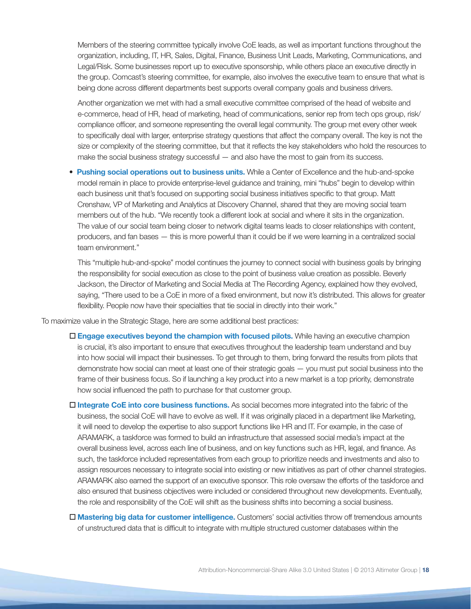Members of the steering committee typically involve CoE leads, as well as important functions throughout the organization, including, IT, HR, Sales, Digital, Finance, Business Unit Leads, Marketing, Communications, and Legal/Risk. Some businesses report up to executive sponsorship, while others place an executive directly in the group. Comcast's steering committee, for example, also involves the executive team to ensure that what is being done across different departments best supports overall company goals and business drivers.

Another organization we met with had a small executive committee comprised of the head of website and e-commerce, head of HR, head of marketing, head of communications, senior rep from tech ops group, risk/ compliance officer, and someone representing the overall legal community. The group met every other week to specifically deal with larger, enterprise strategy questions that affect the company overall. The key is not the size or complexity of the steering committee, but that it reflects the key stakeholders who hold the resources to make the social business strategy successful — and also have the most to gain from its success.

• **Pushing social operations out to business units.** While a Center of Excellence and the hub-and-spoke model remain in place to provide enterprise-level guidance and training, mini "hubs" begin to develop within each business unit that's focused on supporting social business initiatives specific to that group. Matt Crenshaw, VP of Marketing and Analytics at Discovery Channel, shared that they are moving social team members out of the hub. "We recently took a different look at social and where it sits in the organization. The value of our social team being closer to network digital teams leads to closer relationships with content, producers, and fan bases — this is more powerful than it could be if we were learning in a centralized social team environment."

This "multiple hub-and-spoke" model continues the journey to connect social with business goals by bringing the responsibility for social execution as close to the point of business value creation as possible. Beverly Jackson, the Director of Marketing and Social Media at The Recording Agency, explained how they evolved, saying, "There used to be a CoE in more of a fixed environment, but now it's distributed. This allows for greater flexibility. People now have their specialties that tie social in directly into their work."

To maximize value in the Strategic Stage, here are some additional best practices:

- $\square$  **Engage executives beyond the champion with focused pilots.** While having an executive champion is crucial, it's also important to ensure that executives throughout the leadership team understand and buy into how social will impact their businesses. To get through to them, bring forward the results from pilots that demonstrate how social can meet at least one of their strategic goals — you must put social business into the frame of their business focus. So if launching a key product into a new market is a top priority, demonstrate how social influenced the path to purchase for that customer group.
- □ Integrate CoE into core business functions. As social becomes more integrated into the fabric of the business, the social CoE will have to evolve as well. If it was originally placed in a department like Marketing, it will need to develop the expertise to also support functions like HR and IT. For example, in the case of ARAMARK, a taskforce was formed to build an infrastructure that assessed social media's impact at the overall business level, across each line of business, and on key functions such as HR, legal, and finance. As such, the taskforce included representatives from each group to prioritize needs and investments and also to assign resources necessary to integrate social into existing or new initiatives as part of other channel strategies. ARAMARK also earned the support of an executive sponsor. This role oversaw the efforts of the taskforce and also ensured that business objectives were included or considered throughout new developments. Eventually, the role and responsibility of the CoE will shift as the business shifts into becoming a social business.
- □ **Mastering big data for customer intelligence.** Customers' social activities throw off tremendous amounts of unstructured data that is difficult to integrate with multiple structured customer databases within the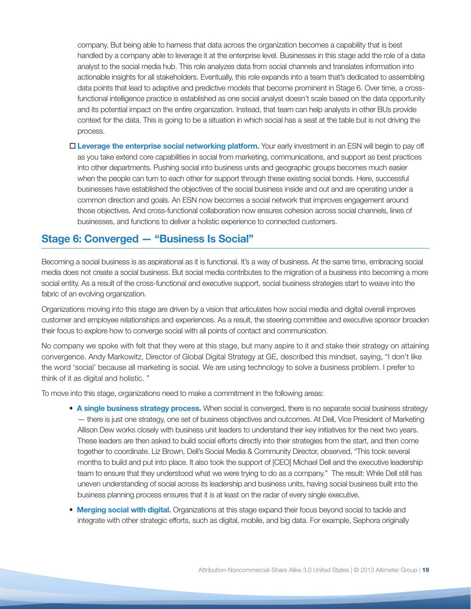company. But being able to harness that data across the organization becomes a capability that is best handled by a company able to leverage it at the enterprise level. Businesses in this stage add the role of a data analyst to the social media hub. This role analyzes data from social channels and translates information into actionable insights for all stakeholders. Eventually, this role expands into a team that's dedicated to assembling data points that lead to adaptive and predictive models that become prominent in Stage 6. Over time, a crossfunctional intelligence practice is established as one social analyst doesn't scale based on the data opportunity and its potential impact on the entire organization. Instead, that team can help analysts in other BUs provide context for the data. This is going to be a situation in which social has a seat at the table but is not driving the process.

□ Leverage the enterprise social networking platform. Your early investment in an ESN will begin to pay off as you take extend core capabilities in social from marketing, communications, and support as best practices into other departments. Pushing social into business units and geographic groups becomes much easier when the people can turn to each other for support through these existing social bonds. Here, successful businesses have established the objectives of the social business inside and out and are operating under a common direction and goals. An ESN now becomes a social network that improves engagement around those objectives. And cross-functional collaboration now ensures cohesion across social channels, lines of businesses, and functions to deliver a holistic experience to connected customers.

## **Stage 6: Converged — "Business Is Social"**

Becoming a social business is as aspirational as it is functional. It's a way of business. At the same time, embracing social media does not create a social business. But social media contributes to the migration of a business into becoming a more social entity. As a result of the cross-functional and executive support, social business strategies start to weave into the fabric of an evolving organization.

Organizations moving into this stage are driven by a vision that articulates how social media and digital overall improves customer and employee relationships and experiences. As a result, the steering committee and executive sponsor broaden their focus to explore how to converge social with all points of contact and communication.

No company we spoke with felt that they were at this stage, but many aspire to it and stake their strategy on attaining convergence. Andy Markowitz, Director of Global Digital Strategy at GE, described this mindset, saying, "I don't like the word 'social' because all marketing is social. We are using technology to solve a business problem. I prefer to think of it as digital and holistic. "

To move into this stage, organizations need to make a commitment in the following areas:

- **A single business strategy process.** When social is converged, there is no separate social business strategy — there is just one strategy, one set of business objectives and outcomes. At Dell, Vice President of Marketing Allison Dew works closely with business unit leaders to understand their key initiatives for the next two years. These leaders are then asked to build social efforts directly into their strategies from the start, and then come together to coordinate. Liz Brown, Dell's Social Media & Community Director, observed, "This took several months to build and put into place. It also took the support of [CEO] Michael Dell and the executive leadership team to ensure that they understood what we were trying to do as a company." The result: While Dell still has uneven understanding of social across its leadership and business units, having social business built into the business planning process ensures that it is at least on the radar of every single executive.
- **Merging social with digital.** Organizations at this stage expand their focus beyond social to tackle and integrate with other strategic efforts, such as digital, mobile, and big data. For example, Sephora originally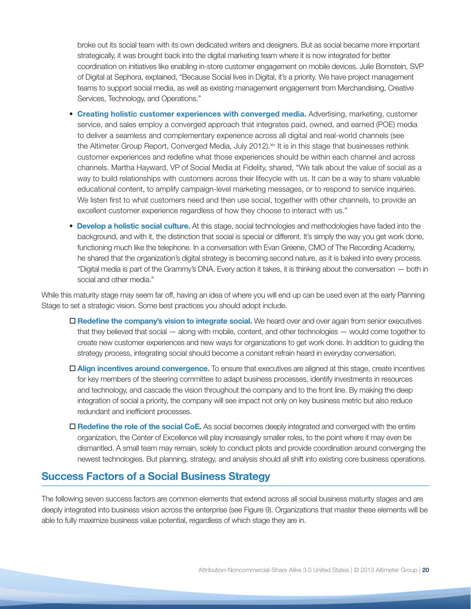broke out its social team with its own dedicated writers and designers. But as social became more important strategically, it was brought back into the digital marketing team where it is now integrated for better coordination on initiatives like enabling in-store customer engagement on mobile devices. Julie Bornstein, SVP of Digital at Sephora, explained, "Because Social lives in Digital, it's a priority. We have project management teams to support social media, as well as existing management engagement from Merchandising, Creative Services, Technology, and Operations."

- **Creating holistic customer experiences with converged media.** Advertising, marketing, customer service, and sales employ a converged approach that integrates paid, owned, and earned (POE) media to deliver a seamless and complementary experience across all digital and real-world channels (see the Altimeter Group Report, Converged Media, July 2012).<sup>xiv</sup> It is in this stage that businesses rethink customer experiences and redefine what those experiences should be within each channel and across channels. Martha Hayward, VP of Social Media at Fidelity, shared, "We talk about the value of social as a way to build relationships with customers across their lifecycle with us. It can be a way to share valuable educational content, to amplify campaign-level marketing messages, or to respond to service inquiries. We listen first to what customers need and then use social, together with other channels, to provide an excellent customer experience regardless of how they choose to interact with us."
- **Develop a holistic social culture.** At this stage, social technologies and methodologies have faded into the background, and with it, the distinction that social is special or different. It's simply the way you get work done, functioning much like the telephone. In a conversation with Evan Greene, CMO of The Recording Academy, he shared that the organization's digital strategy is becoming second nature, as it is baked into every process. "Digital media is part of the Grammy's DNA. Every action it takes, it is thinking about the conversation — both in social and other media."

While this maturity stage may seem far off, having an idea of where you will end up can be used even at the early Planning Stage to set a strategic vision. Some best practices you should adopt include.

- □ Redefine the company's vision to integrate social. We heard over and over again from senior executives that they believed that social — along with mobile, content, and other technologies — would come together to create new customer experiences and new ways for organizations to get work done. In addition to guiding the strategy process, integrating social should become a constant refrain heard in everyday conversation.
- □ Align incentives around convergence. To ensure that executives are aligned at this stage, create incentives for key members of the steering committee to adapt business processes, identify investments in resources and technology, and cascade the vision throughout the company and to the front line. By making the deep integration of social a priority, the company will see impact not only on key business metric but also reduce redundant and inefficient processes.
- □ Redefine the role of the social CoE. As social becomes deeply integrated and converged with the entire organization, the Center of Excellence will play increasingly smaller roles, to the point where it may even be dismantled. A small team may remain, solely to conduct pilots and provide coordination around converging the newest technologies. But planning, strategy, and analysis should all shift into existing core business operations.

## **Success Factors of a Social Business Strategy**

The following seven success factors are common elements that extend across all social business maturity stages and are deeply integrated into business vision across the enterprise (see Figure 9). Organizations that master these elements will be able to fully maximize business value potential, regardless of which stage they are in.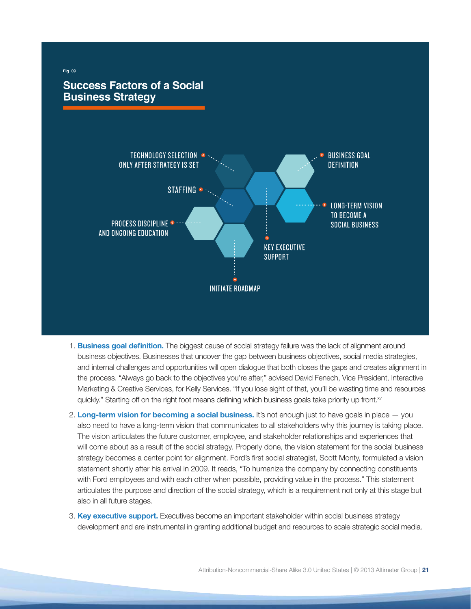

- 1. **Business goal definition.** The biggest cause of social strategy failure was the lack of alignment around business objectives. Businesses that uncover the gap between business objectives, social media strategies, and internal challenges and opportunities will open dialogue that both closes the gaps and creates alignment in the process. "Always go back to the objectives you're after," advised David Fenech, Vice President, Interactive Marketing & Creative Services, for Kelly Services. "If you lose sight of that, you'll be wasting time and resources quickly." Starting off on the right foot means defining which business goals take priority up front.<sup>xv</sup>
- 2. **Long-term vision for becoming a social business.** It's not enough just to have goals in place you also need to have a long-term vision that communicates to all stakeholders why this journey is taking place. The vision articulates the future customer, employee, and stakeholder relationships and experiences that will come about as a result of the social strategy. Properly done, the vision statement for the social business strategy becomes a center point for alignment. Ford's first social strategist, Scott Monty, formulated a vision statement shortly after his arrival in 2009. It reads, "To humanize the company by connecting constituents with Ford employees and with each other when possible, providing value in the process." This statement articulates the purpose and direction of the social strategy, which is a requirement not only at this stage but also in all future stages.
- 3. **Key executive support.** Executives become an important stakeholder within social business strategy development and are instrumental in granting additional budget and resources to scale strategic social media.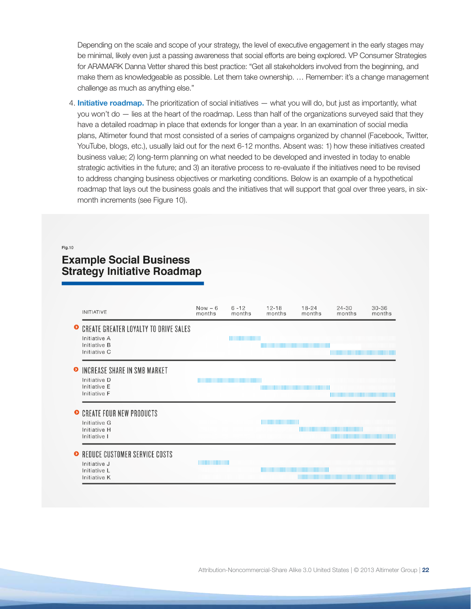Depending on the scale and scope of your strategy, the level of executive engagement in the early stages may be minimal, likely even just a passing awareness that social efforts are being explored. VP Consumer Strategies for ARAMARK Danna Vetter shared this best practice: "Get all stakeholders involved from the beginning, and make them as knowledgeable as possible. Let them take ownership. … Remember: it's a change management challenge as much as anything else."

4. **Initiative roadmap.** The prioritization of social initiatives — what you will do, but just as importantly, what you won't do — lies at the heart of the roadmap. Less than half of the organizations surveyed said that they have a detailed roadmap in place that extends for longer than a year. In an examination of social media plans, Altimeter found that most consisted of a series of campaigns organized by channel (Facebook, Twitter, YouTube, blogs, etc.), usually laid out for the next 6-12 months. Absent was: 1) how these initiatives created business value; 2) long-term planning on what needed to be developed and invested in today to enable strategic activities in the future; and 3) an iterative process to re-evaluate if the initiatives need to be revised to address changing business objectives or marketing conditions. Below is an example of a hypothetical roadmap that lays out the business goals and the initiatives that will support that goal over three years, in sixmonth increments (see Figure 10).

#### Fig.10

# **Example Social Business Strategy Initiative Roadmap**

| <b>INITIATIVE</b>                                                                            | $Now - 6$<br>months | $6 - 12$<br>months | $12 - 18$<br>months | $18 - 24$<br>months | $24 - 30$<br>months                                                                                                                                                                                                                  | $30 - 36$<br>months |
|----------------------------------------------------------------------------------------------|---------------------|--------------------|---------------------|---------------------|--------------------------------------------------------------------------------------------------------------------------------------------------------------------------------------------------------------------------------------|---------------------|
| <b>CREATE GREATER LOYALTY TO DRIVE SALES</b><br>Initiative A<br>Initiative B<br>Initiative C |                     |                    |                     |                     |                                                                                                                                                                                                                                      |                     |
| INCREASE SHARE IN SMB MARKET<br>Initiative D<br>Initiative E<br>Initiative F                 |                     |                    |                     |                     | <u> 1111 - The Theory and The Theory and The Theory and The Theory and The Theory and The Theory and The Theory and The Theory and The Theory and The Theory and The Theory and The Theory and The Theory and The Theory and The</u> |                     |
| • CREATE FOUR NEW PRODUCTS<br>Initiative G<br>Initiative H<br>Initiative I                   |                     |                    |                     |                     |                                                                                                                                                                                                                                      |                     |
| • REDUCE CUSTOMER SERVICE COSTS<br>Initiative J<br>Initiative L<br>Initiative K              |                     |                    |                     |                     | <u> 1989 - Andrea Stadt Britain, marwolaeth a bhannaich an t-</u>                                                                                                                                                                    |                     |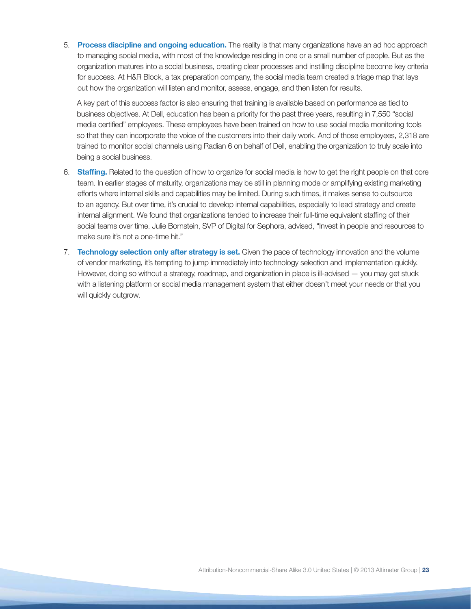5. **Process discipline and ongoing education.** The reality is that many organizations have an ad hoc approach to managing social media, with most of the knowledge residing in one or a small number of people. But as the organization matures into a social business, creating clear processes and instilling discipline become key criteria for success. At H&R Block, a tax preparation company, the social media team created a triage map that lays out how the organization will listen and monitor, assess, engage, and then listen for results.

A key part of this success factor is also ensuring that training is available based on performance as tied to business objectives. At Dell, education has been a priority for the past three years, resulting in 7,550 "social media certified" employees. These employees have been trained on how to use social media monitoring tools so that they can incorporate the voice of the customers into their daily work. And of those employees, 2,318 are trained to monitor social channels using Radian 6 on behalf of Dell, enabling the organization to truly scale into being a social business.

- 6. **Staffing.** Related to the question of how to organize for social media is how to get the right people on that core team. In earlier stages of maturity, organizations may be still in planning mode or amplifying existing marketing efforts where internal skills and capabilities may be limited. During such times, it makes sense to outsource to an agency. But over time, it's crucial to develop internal capabilities, especially to lead strategy and create internal alignment. We found that organizations tended to increase their full-time equivalent staffing of their social teams over time. Julie Bornstein, SVP of Digital for Sephora, advised, "Invest in people and resources to make sure it's not a one-time hit."
- 7. **Technology selection only after strategy is set.** Given the pace of technology innovation and the volume of vendor marketing, it's tempting to jump immediately into technology selection and implementation quickly. However, doing so without a strategy, roadmap, and organization in place is ill-advised — you may get stuck with a listening platform or social media management system that either doesn't meet your needs or that you will quickly outgrow.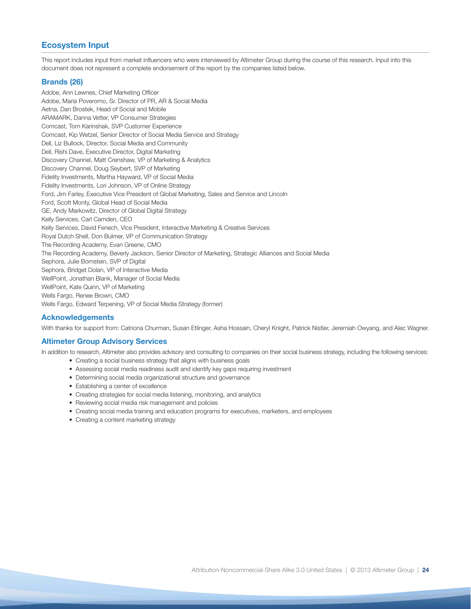## **Ecosystem Input**

This report includes input from market influencers who were interviewed by Altimeter Group during the course of this research. Input into this document does not represent a complete endorsement of the report by the companies listed below.

## **Brands (26)**

Adobe, Ann Lewnes, Chief Marketing Officer Adobe, Maria Poveromo, Sr. Director of PR, AR & Social Media Aetna, Dan Brostek, Head of Social and Mobile ARAMARK, Danna Vetter, VP Consumer Strategies Comcast, Tom Karinshak, SVP Customer Experience Comcast, Kip Wetzel, Senior Director of Social Media Service and Strategy Dell, Liz Bullock, Director, Social Media and Community Dell, Rishi Dave, Executive Director, Digital Marketing Discovery Channel, Matt Crenshaw, VP of Marketing & Analytics Discovery Channel, Doug Seybert, SVP of Marketing Fidelity Investments, Martha Hayward, VP of Social Media Fidelity Investments, Lori Johnson, VP of Online Strategy Ford, Jim Farley, Executive Vice President of Global Marketing, Sales and Service and Lincoln Ford, Scott Monty, Global Head of Social Media GE, Andy Markowitz, Director of Global Digital Strategy Kelly Services, Carl Camden, CEO Kelly Services, David Fenech, Vice President, Interactive Marketing & Creative Services Royal Dutch Shell, Don Bulmer, VP of Communication Strategy The Recording Academy, Evan Greene, CMO The Recording Academy, Beverly Jackson, Senior Director of Marketing, Strategic Alliances and Social Media Sephora, Julie Bornstein, SVP of Digital Sephora, Bridget Dolan, VP of Interactive Media WellPoint, Jonathan Blank, Manager of Social Media WellPoint, Kate Quinn, VP of Marketing Wells Fargo, Renee Brown, CMO Wells Fargo, Edward Terpening, VP of Social Media Strategy (former)

## **Acknowledgements**

With thanks for support from: Catriona Churman, Susan Etlinger, Asha Hossain, Cheryl Knight, Patrick Nistler, Jeremiah Owyang, and Alec Wagner.

## **Altimeter Group Advisory Services**

In addition to research, Altimeter also provides advisory and consulting to companies on their social business strategy, including the following services:

- Creating a social business strategy that aligns with business goals
- Assessing social media readiness audit and identify key gaps requiring investment
- Determining social media organizational structure and governance
- Establishing a center of excellence
- Creating strategies for social media listening, monitoring, and analytics
- Reviewing social media risk management and policies
- Creating social media training and education programs for executives, marketers, and employees
- Creating a content marketing strategy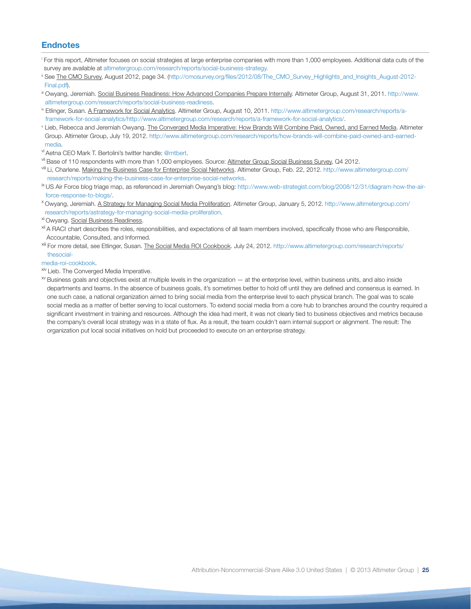## **Endnotes**

- i For this report, Altimeter focuses on social strategies at large enterprise companies with more than 1,000 employees. Additional data cuts of the survey are available at <altimetergroup.com/research/reports/social-business-strategy>.
- <sup>i</sup> See The CMO Survey, August 2012, page 34. ([http://cmosurvey.org/files/2012/08/The\\_CMO\\_Survey\\_Highlights\\_and\\_Insights\\_August-2012-](http://cmosurvey.org/files/2012/08/The_CMO_Survey_Highlights_and_Insights_August-2012-Final.pdf) [Final.pdf](http://cmosurvey.org/files/2012/08/The_CMO_Survey_Highlights_and_Insights_August-2012-Final.pdf)).
- iii Owyang, Jeremiah. Social Business Readiness: How Advanced Companies Prepare Internally. Altimeter Group, August 31, 2011. [http://www.](http://www.altimetergroup.com/research/reports/social-business-readiness) [altimetergroup.com/research/reports/social-business-readiness](http://www.altimetergroup.com/research/reports/social-business-readiness).
- v Etlinger, Susan. A Framework for Social Analytics. Altimeter Group, August 10, 2011. [http://www.altimetergroup.com/research/reports/a](http://www.altimetergroup.com/research/reports/a-framework-for-social-analytics/http://www.altimetergroup.com/research/reports/a-framework-for-social-analytics/)[framework-for-social-analytics/http://www.altimetergroup.com/research/reports/a-framework-for-social-analytics/](http://www.altimetergroup.com/research/reports/a-framework-for-social-analytics/http://www.altimetergroup.com/research/reports/a-framework-for-social-analytics/).
- v Lieb, Rebecca and Jeremiah Owyang. <u>The Converged Media Imperative: How Brands Will Combine Paid, Owned, and Earned Media</u>. Altimeter Group. Altimeter Group, July 19, 2012. [http://www.altimetergroup.com/research/reports/how-brands-will-combine-paid-owned-and-earned](http://www.altimetergroup.com/research/reports/how-brands-will-combine-paid-owned-and-earned-media)[media](http://www.altimetergroup.com/research/reports/how-brands-will-combine-paid-owned-and-earned-media).
- vi Aetna CEO Mark T. Bertolini's twitter handle: @mtbert.
- vii Base of 110 respondents with more than 1,000 employees. Source: Altimeter Group Social Business Survey, Q4 2012.
- viii Li, Charlene. Making the Business Case for Enterprise Social Networks. Altimeter Group, Feb. 22, 2012. [http://www.altimetergroup.com/](http://www.altimetergroup.com/research/reports/making-the-business-case-for-enterprise-social-networks) [research/reports/making-the-business-case-for-enterprise-social-networks.](http://www.altimetergroup.com/research/reports/making-the-business-case-for-enterprise-social-networks)
- ix US Air Force blog triage map, as referenced in Jeremiah Owyang's blog: [http://www.web-strategist.com/blog/2008/12/31/diagram-how-the-air](http://www.web-strategist.com/blog/2008/12/31/diagram-how-the-air-force-response-to-blogs/)[force-response-to-blogs/.](http://www.web-strategist.com/blog/2008/12/31/diagram-how-the-air-force-response-to-blogs/)
- <sup>x</sup>Owyang, Jeremiah. A Strategy for Managing Social Media Proliferation. Altimeter Group, January 5, 2012. [http://www.altimetergroup.com/](http://www.altimetergroup.com/research/reports/astrategy-for-managing-social-media-proliferation) [research/reports/astrategy-for-managing-social-media-proliferation](http://www.altimetergroup.com/research/reports/astrategy-for-managing-social-media-proliferation).
- xi Owyang. Social Business Readiness.
- <sup>xii</sup> A RACI chart describes the roles, responsibilities, and expectations of all team members involved, specifically those who are Responsible, Accountable, Consulted, and Informed.
- xiii For more detail, see Etlinger, Susan. The Social Media ROI Cookbook. July 24, 2012. [http://www.altimetergroup.com/research/reports/](http://www.altimetergroup.com/research/reports/thesocial-%0Dmedia-roi-cookbook) [thesocial-](http://www.altimetergroup.com/research/reports/thesocial-%0Dmedia-roi-cookbook)

#### [media-roi-cookbook.](http://www.altimetergroup.com/research/reports/thesocial-%0Dmedia-roi-cookbook)

- xiv Lieb. The Converged Media Imperative.
- xv Business goals and objectives exist at multiple levels in the organization at the enterprise level, within business units, and also inside departments and teams. In the absence of business goals, it's sometimes better to hold off until they are defined and consensus is earned. In one such case, a national organization aimed to bring social media from the enterprise level to each physical branch. The goal was to scale social media as a matter of better serving to local customers. To extend social media from a core hub to branches around the country required a significant investment in training and resources. Although the idea had merit, it was not clearly tied to business objectives and metrics because the company's overall local strategy was in a state of flux. As a result, the team couldn't earn internal support or alignment. The result: The organization put local social initiatives on hold but proceeded to execute on an enterprise strategy.